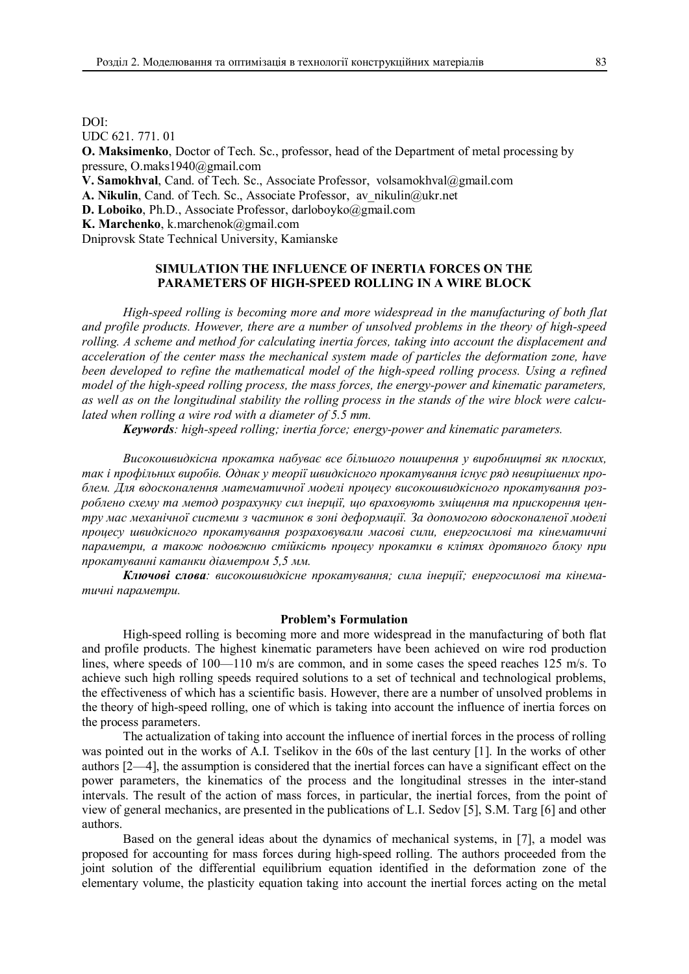DOI: UDC 621. 771. 01 **O. Maksimenko**, Doctor of Tech. Sc., professor, head of the Department of metal processing by pressure, O.maks1940@gmail.com **V. Samokhval**, Cand. of Tech. Sc., Associate Professor, volsamokhval@gmail.com A. Nikulin, Cand. of Tech. Sc., Associate Professor, av\_nikulin@ukr.net **D. Loboiko**, Ph.D., Associate Professor, darloboyko@gmail.com **K. Marchenko**, k.marchenok@gmail.com

Dniprovsk State Technical University, Kamianske

## **SIMULATION THE INFLUENCE OF INERTIA FORCES ON THE PARAMETERS OF HIGH-SPEED ROLLING IN A WIRE BLOCK**

*High-speed rolling is becoming more and more widespread in the manufacturing of both flat and profile products. However, there are a number of unsolved problems in the theory of high-speed rolling. A scheme and method for calculating inertia forces, taking into account the displacement and acceleration of the center mass the mechanical system made of particles the deformation zone, have been developed to refine the mathematical model of the high-speed rolling process. Using a refined model of the high-speed rolling process, the mass forces, the energy-power and kinematic parameters, as well as on the longitudinal stability the rolling process in the stands of the wire block were calculated when rolling a wire rod with a diameter of 5.5 mm.*

*Keywords: high-speed rolling; inertia force; energy-power and kinematic parameters.*

*Високошвидкісна прокатка набуває все більшого поширення у виробництві як плоских, так і профільних виробів. Однак у теорії швидкісного прокатування існує ряд невирішених проблем. Для вдосконалення математичної моделі процесу високошвидкісного прокатування розроблено схему та метод розрахунку сил інерції, що враховують зміщення та прискорення центру мас механічної системи з частинок в зоні деформації. За допомогою вдосконаленої моделі процесу швидкісного прокатування розраховували масові сили, енергосилові та кінематичні параметри, а також подовжню стійкість процесу прокатки в клітях дротяного блоку при прокатуванні катанки діаметром 5,5 мм.*

*Ключові слова: високошвидкісне прокатування; сила інерції; енергосилові та кінематичні параметри.*

#### **Problem's Formulation**

High-speed rolling is becoming more and more widespread in the manufacturing of both flat and profile products. The highest kinematic parameters have been achieved on wire rod production lines, where speeds of 100—110 m/s are common, and in some cases the speed reaches 125 m/s. To achieve such high rolling speeds required solutions to a set of technical and technological problems, the effectiveness of which has a scientific basis. However, there are a number of unsolved problems in the theory of high-speed rolling, one of which is taking into account the influence of inertia forces on the process parameters.

The actualization of taking into account the influence of inertial forces in the process of rolling was pointed out in the works of A.I. Tselikov in the 60s of the last century [1]. In the works of other authors [2—4], the assumption is considered that the inertial forces can have a significant effect on the power parameters, the kinematics of the process and the longitudinal stresses in the inter-stand intervals. The result of the action of mass forces, in particular, the inertial forces, from the point of view of general mechanics, are presented in the publications of L.I. Sedov [5], S.M. Targ [6] and other authors.

Based on the general ideas about the dynamics of mechanical systems, in [7], a model was proposed for accounting for mass forces during high-speed rolling. The authors proceeded from the joint solution of the differential equilibrium equation identified in the deformation zone of the elementary volume, the plasticity equation taking into account the inertial forces acting on the metal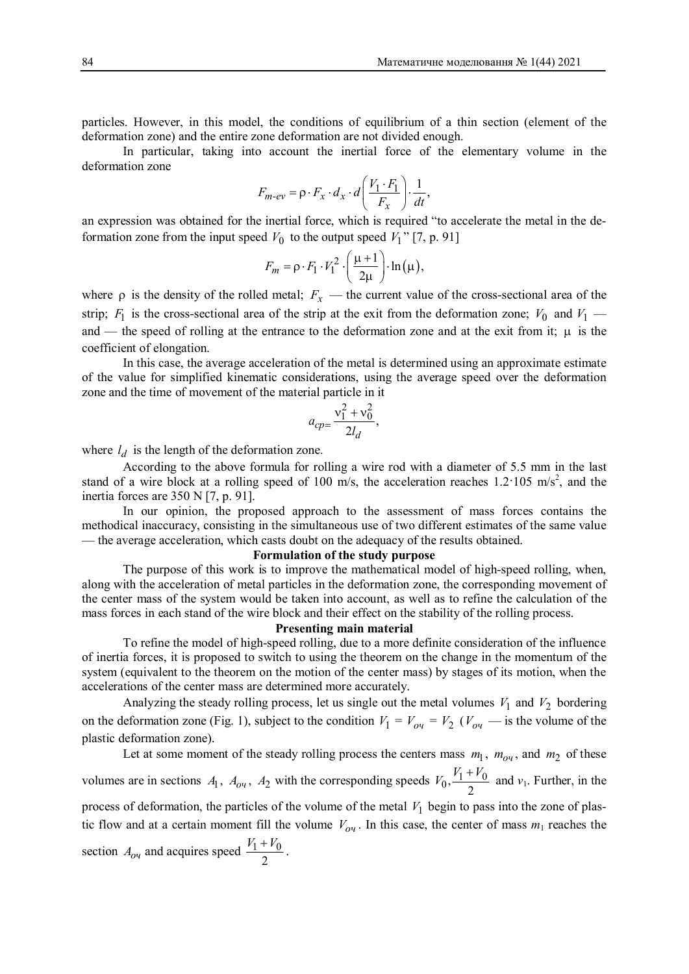particles. However, in this model, the conditions of equilibrium of a thin section (element of the deformation zone) and the entire zone deformation are not divided enough.

In particular, taking into account the inertial force of the elementary volume in the deformation zone

$$
F_{m\text{-}ev} = \rho \cdot F_x \cdot d_x \cdot d \left( \frac{V_1 \cdot F_1}{F_x} \right) \cdot \frac{1}{dt},
$$

an expression was obtained for the inertial force, which is required "to accelerate the metal in the deformation zone from the input speed  $V_0$  to the output speed  $V_1$ <sup>"</sup> [7, p. 91]

$$
F_m = \rho \cdot F_1 \cdot V_1^2 \cdot \left(\frac{\mu + 1}{2\mu}\right) \cdot \ln(\mu),
$$

where  $\rho$  is the density of the rolled metal;  $F_x$  — the current value of the cross-sectional area of the strip;  $F_1$  is the cross-sectional area of the strip at the exit from the deformation zone;  $V_0$  and  $V_1$  and — the speed of rolling at the entrance to the deformation zone and at the exit from it;  $\mu$  is the coefficient of elongation.

In this case, the average acceleration of the metal is determined using an approximate estimate of the value for simplified kinematic considerations, using the average speed over the deformation zone and the time of movement of the material particle in it

$$
a_{cp} = \frac{v_1^2 + v_0^2}{2l_d},
$$

where  $l_d$  is the length of the deformation zone.

According to the above formula for rolling a wire rod with a diameter of 5.5 mm in the last stand of a wire block at a rolling speed of 100 m/s, the acceleration reaches 1.2 105 m/s<sup>2</sup>, and the inertia forces are 350 N [7, p. 91].

In our opinion, the proposed approach to the assessment of mass forces contains the methodical inaccuracy, consisting in the simultaneous use of two different estimates of the same value — the average acceleration, which casts doubt on the adequacy of the results obtained.

#### **Formulation of the study purpose**

The purpose of this work is to improve the mathematical model of high-speed rolling, when, along with the acceleration of metal particles in the deformation zone, the corresponding movement of the center mass of the system would be taken into account, as well as to refine the calculation of the mass forces in each stand of the wire block and their effect on the stability of the rolling process.

## **Presenting main material**

To refine the model of high-speed rolling, due to a more definite consideration of the influence of inertia forces, it is proposed to switch to using the theorem on the change in the momentum of the system (equivalent to the theorem on the motion of the center mass) by stages of its motion, when the accelerations of the center mass are determined more accurately.

Analyzing the steady rolling process, let us single out the metal volumes  $V_1$  and  $V_2$  bordering on the deformation zone (Fig. 1), subject to the condition  $V_1 = V_{0y} = V_2$  ( $V_{0y}$  — is the volume of the plastic deformation zone).

Let at some moment of the steady rolling process the centers mass  $m_1$ ,  $m_{o_1}$ , and  $m_2$  of these volumes are in sections  $A_1$ ,  $A_{0y}$ ,  $A_2$  with the corresponding speeds  $V_0$ ,  $\frac{V_1 + V_0}{2}$ 2  $V_0$ ,  $\frac{V_1 + V_0}{2}$  and  $v_1$ . Further, in the process of deformation, the particles of the volume of the metal  $V_1$  begin to pass into the zone of plastic flow and at a certain moment fill the volume  $V_{0y}$ . In this case, the center of mass  $m_1$  reaches the section  $A_{o\mu}$  and acquires speed  $\frac{V_1 + V_0}{2}$  $\frac{V_1 + V_0}{I}$ .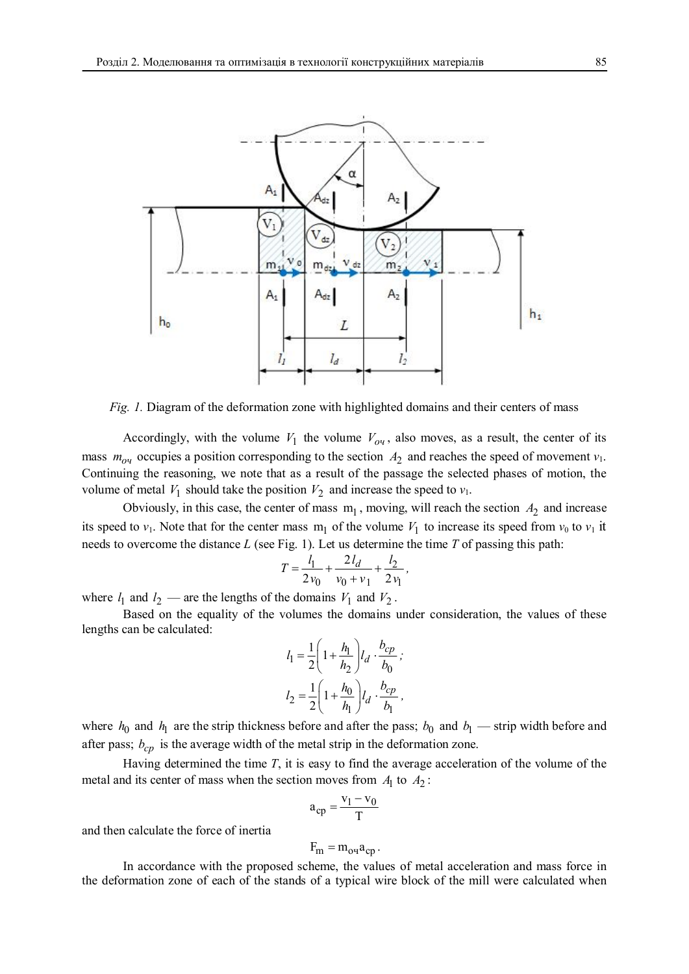

*Fig. 1.* Diagram of the deformation zone with highlighted domains and their centers of mass

Accordingly, with the volume  $V_1$  the volume  $V_{o}$ , also moves, as a result, the center of its mass  $m_{0y}$  occupies a position corresponding to the section  $A_2$  and reaches the speed of movement  $v_1$ . Continuing the reasoning, we note that as a result of the passage the selected phases of motion, the volume of metal  $V_1$  should take the position  $V_2$  and increase the speed to  $v_1$ .

Obviously, in this case, the center of mass  $m_1$ , moving, will reach the section  $A_2$  and increase its speed to  $v_1$ . Note that for the center mass  $m_1$  of the volume  $V_1$  to increase its speed from  $v_0$  to  $v_1$  it needs to overcome the distance *L* (see Fig. 1). Let us determine the time *T* of passing this path:

$$
T = \frac{l_1}{2v_0} + \frac{2l_d}{v_0 + v_1} + \frac{l_2}{2v_1},
$$

where  $l_1$  and  $l_2$  — are the lengths of the domains  $V_1$  and  $V_2$ .

Based on the equality of the volumes the domains under consideration, the values of these lengths can be calculated:

$$
l_1 = \frac{1}{2} \left( 1 + \frac{h_1}{h_2} \right) l_d \cdot \frac{b_{cp}}{b_0} ;
$$
  

$$
l_2 = \frac{1}{2} \left( 1 + \frac{h_0}{h_1} \right) l_d \cdot \frac{b_{cp}}{b_1} ,
$$

where  $h_0$  and  $h_1$  are the strip thickness before and after the pass;  $b_0$  and  $b_1$  — strip width before and after pass;  $b_{cn}$  is the average width of the metal strip in the deformation zone.

Having determined the time *T*, it is easy to find the average acceleration of the volume of the metal and its center of mass when the section moves from  $A_1$  to  $A_2$ :

$$
a_{cp} = \frac{v_1 - v_0}{T}
$$

and then calculate the force of inertia

$$
F_m = m_{o} a_{cp}.
$$

In accordance with the proposed scheme, the values of metal acceleration and mass force in the deformation zone of each of the stands of a typical wire block of the mill were calculated when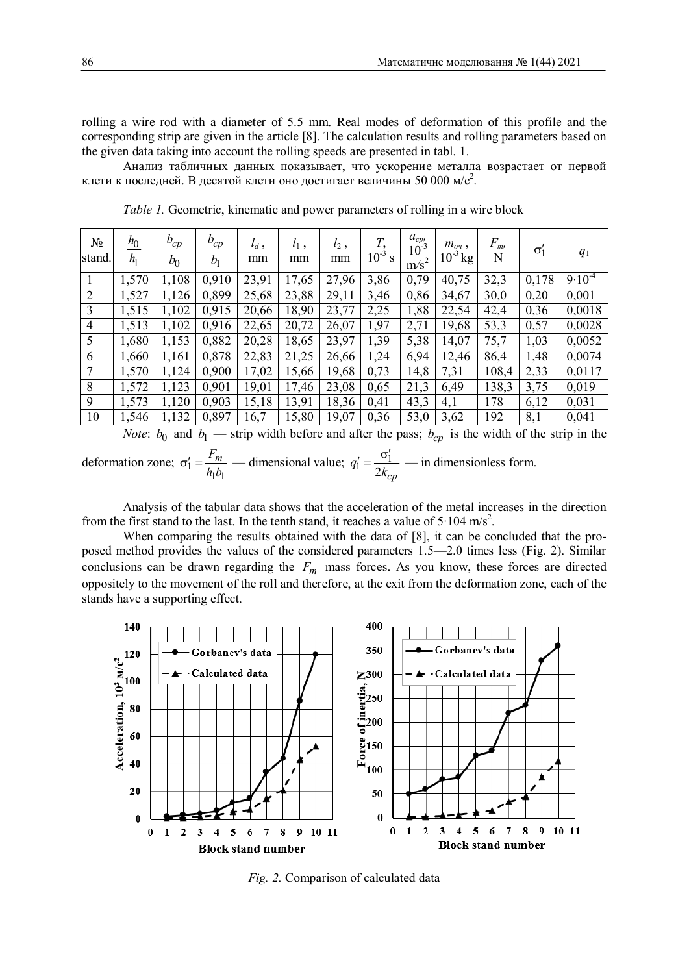rolling a wire rod with a diameter of 5.5 mm. Real modes of deformation of this profile and the corresponding strip are given in the article [8]. The calculation results and rolling parameters based on the given data taking into account the rolling speeds are presented in tabl. 1.

Анализ табличных данных показывает, что ускорение металла возрастает от первой клети к последней. В десятой клети оно достигает величины 50 000 м/с<sup>2</sup>.

| $N_{2}$<br>stand. | $h_0$<br>h <sub>1</sub> | $b_{cp}$<br>$b_0$ | $b_{cp}$<br>b <sub>1</sub> | $l_d$ ,<br>mm | $l_1$ ,<br>mm | $l_2$ ,<br>mm | $10^{-3}$ | $a_{cp}$<br>$10^{-3}$<br>m/s <sup>2</sup> | $m_{o}$ ,<br>$10^{-3}$ kg | $F_{\rm m}$<br>N | $\sigma_1$ | $q_1$      |
|-------------------|-------------------------|-------------------|----------------------------|---------------|---------------|---------------|-----------|-------------------------------------------|---------------------------|------------------|------------|------------|
| $\mathbf{1}$      | 1,570                   | 1,108             | 0,910                      | 23,91         | 17,65         | 27,96         | 3,86      | 0,79                                      | 40,75                     | 32,3             | 0,178      | $9.10^{4}$ |
| $\overline{2}$    | 1,527                   | 1,126             | 0,899                      | 25,68         | 23,88         | 29,11         | 3,46      | 0,86                                      | 34,67                     | 30,0             | 0,20       | 0,001      |
| 3                 | 1,515                   | 1,102             | 0,915                      | 20,66         | 18,90         | 23,77         | 2,25      | 1,88                                      | 22,54                     | 42,4             | 0,36       | 0,0018     |
| $\overline{4}$    | 1,513                   | 1,102             | 0,916                      | 22,65         | 20,72         | 26,07         | 1,97      | 2,71                                      | 19,68                     | 53,3             | 0,57       | 0,0028     |
| 5                 | 1,680                   | 1,153             | 0,882                      | 20,28         | 18,65         | 23,97         | 1,39      | 5,38                                      | 14,07                     | 75,7             | 1,03       | 0,0052     |
| 6                 | 1,660                   | 1,161             | 0,878                      | 22,83         | 21,25         | 26,66         | 1,24      | 6,94                                      | 12,46                     | 86,4             | 1,48       | 0,0074     |
| $\overline{7}$    | 1,570                   | 1,124             | 0,900                      | 17,02         | 15,66         | 19,68         | 0,73      | 14,8                                      | 7,31                      | 108,4            | 2,33       | 0,0117     |
| 8                 | 1,572                   | 1,123             | 0,901                      | 19,01         | 17,46         | 23,08         | 0,65      | 21,3                                      | 6,49                      | 138,3            | 3,75       | 0,019      |
| 9                 | 1,573                   | 1,120             | 0,903                      | 15,18         | 13,91         | 18,36         | 0,41      | 43,3                                      | 4,1                       | 178              | 6,12       | 0,031      |
| 10                | 1,546                   | 1,132             | 0,897                      | 16,7          | 15,80         | 19,07         | 0,36      | 53,0                                      | 3,62                      | 192              | 8,1        | 0,041      |

*Table 1.* Geometric, kinematic and power parameters of rolling in a wire block

*Note*:  $b_0$  and  $b_1$  — strip width before and after the pass;  $b_{cp}$  is the width of the strip in the deformation zone;  $\sigma_1'$  $\eta$  $\sigma'_1 = \frac{F_m}{\sigma^2}$  $h_1 b$ — dimensional value;  $q'_1 = \frac{\sigma_1}{2k_c}$  $y' = \frac{\sigma'_1}{\sigma'_2}$ *cp q k* — in dimensionless form.

Analysis of the tabular data shows that the acceleration of the metal increases in the direction from the first stand to the last. In the tenth stand, it reaches a value of  $5 \cdot 104$  m/s<sup>2</sup>.

When comparing the results obtained with the data of [8], it can be concluded that the proposed method provides the values of the considered parameters 1.5—2.0 times less (Fig. 2). Similar conclusions can be drawn regarding the  $F_m$  mass forces. As you know, these forces are directed oppositely to the movement of the roll and therefore, at the exit from the deformation zone, each of the stands have a supporting effect.



*Fig. 2.* Comparison of calculated data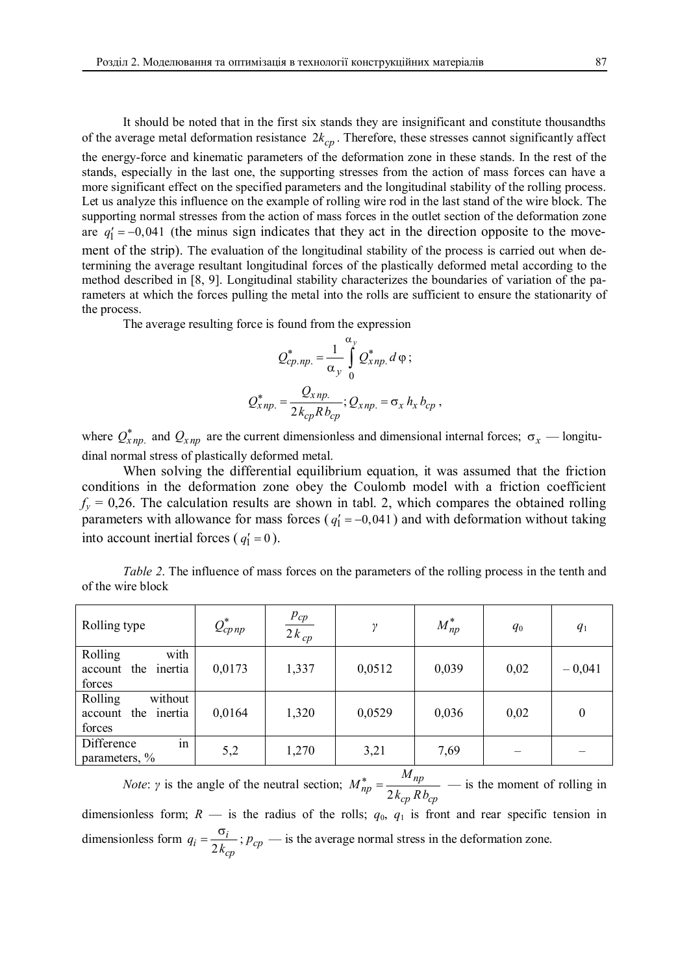It should be noted that in the first six stands they are insignificant and constitute thousandths of the average metal deformation resistance  $2k_{cp}$ . Therefore, these stresses cannot significantly affect the energy-force and kinematic parameters of the deformation zone in these stands. In the rest of the stands, especially in the last one, the supporting stresses from the action of mass forces can have a more significant effect on the specified parameters and the longitudinal stability of the rolling process. Let us analyze this influence on the example of rolling wire rod in the last stand of the wire block. The supporting normal stresses from the action of mass forces in the outlet section of the deformation zone are  $q'_1 = -0.041$  (the minus sign indicates that they act in the direction opposite to the movement of the strip). The evaluation of the longitudinal stability of the process is carried out when determining the average resultant longitudinal forces of the plastically deformed metal according to the method described in [8, 9]. Longitudinal stability characterizes the boundaries of variation of the parameters at which the forces pulling the metal into the rolls are sufficient to ensure the stationarity of the process.

The average resulting force is found from the expression

$$
Q_{cp.np.}^{*} = \frac{1}{\alpha_y} \int_{0}^{\alpha_y} Q_{xnp.}^{*} d\varphi ;
$$
  

$$
Q_{xnp.}^{*} = \frac{Q_{xnp.}}{2k_{cp}Rb_{cp}}; Q_{xnp.} = \sigma_x h_x b_{cp},
$$

where  $Q^*_{xnp}$  and  $Q_{xnp}$  are the current dimensionless and dimensional internal forces;  $\sigma_x$  — longitudinal normal stress of plastically deformed metal.

When solving the differential equilibrium equation, it was assumed that the friction conditions in the deformation zone obey the Coulomb model with a friction coefficient  $f_y = 0.26$ . The calculation results are shown in tabl. 2, which compares the obtained rolling parameters with allowance for mass forces ( $q'_1 = -0.041$ ) and with deformation without taking into account inertial forces ( $q'_1 = 0$ ).

*Table 2.* The influence of mass forces on the parameters of the rolling process in the tenth and of the wire block

| Rolling type                                              | $Q_{cpnp}^*$ | $p_{cp}$<br>$2k_{cp}$ | ν      | $M_{np}^*$ | $q_0$ | q <sub>1</sub>   |
|-----------------------------------------------------------|--------------|-----------------------|--------|------------|-------|------------------|
| with<br>Rolling<br>inertia<br>the<br>account<br>forces    | 0,0173       | 1,337                 | 0,0512 | 0,039      | 0,02  | $-0,041$         |
| Rolling<br>without<br>inertia<br>the<br>account<br>forces | 0,0164       | 1,320                 | 0,0529 | 0,036      | 0,02  | $\boldsymbol{0}$ |
| in<br>Difference<br>parameters, %                         | 5,2          | 1,270                 | 3,21   | 7,69       |       |                  |

*Note*: *γ* is the angle of the neutral section; 2  $\frac{m}{np} = \frac{M_{np}}{1 + m}$ *np cp cp M M*  $k_{cn}$ *Rb*  — is the moment of rolling in dimensionless form;  $R$  — is the radius of the rolls;  $q_0$ ,  $q_1$  is front and rear specific tension in dimensionless form 2  $i = \frac{\sigma_i}{2h}$ *cp q*  $\frac{v_l}{k_{cn}}$ ;  $p_{cp}$  — is the average normal stress in the deformation zone.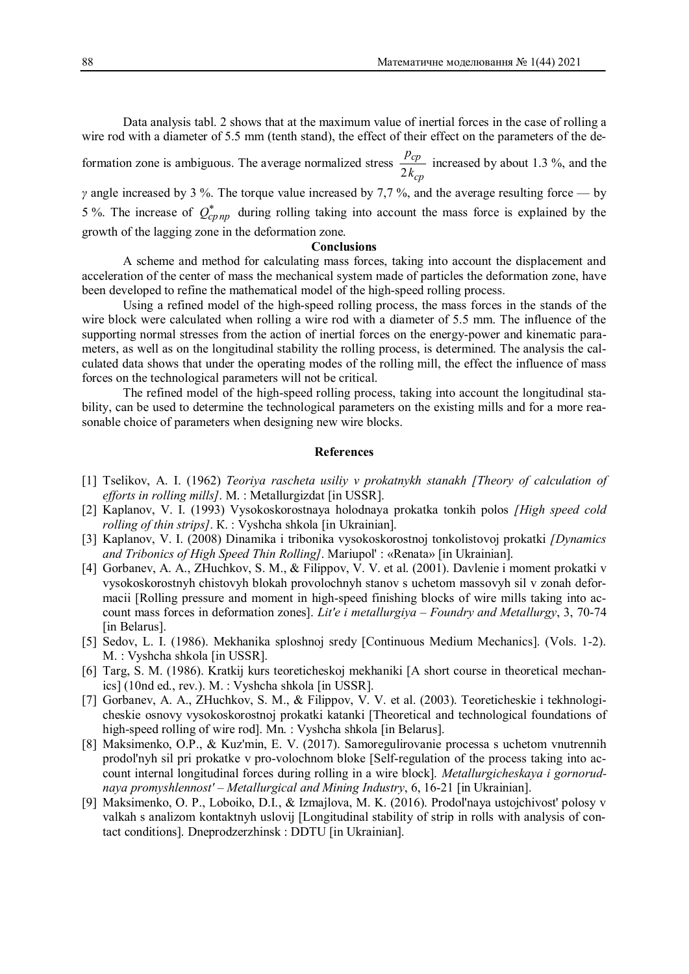Data analysis tabl. 2 shows that at the maximum value of inertial forces in the case of rolling a wire rod with a diameter of 5.5 mm (tenth stand), the effect of their effect on the parameters of the de-

formation zone is ambiguous. The average normalized stress 2 *cp cp p k* increased by about 1.3 %, and the *γ* angle increased by 3 %. The torque value increased by 7,7 %, and the average resulting force — by

5 %. The increase of  $Q_{cpnp}^*$  during rolling taking into account the mass force is explained by the growth of the lagging zone in the deformation zone.

### **Conclusions**

A scheme and method for calculating mass forces, taking into account the displacement and acceleration of the center of mass the mechanical system made of particles the deformation zone, have been developed to refine the mathematical model of the high-speed rolling process.

Using a refined model of the high-speed rolling process, the mass forces in the stands of the wire block were calculated when rolling a wire rod with a diameter of 5.5 mm. The influence of the supporting normal stresses from the action of inertial forces on the energy-power and kinematic parameters, as well as on the longitudinal stability the rolling process, is determined. The analysis the calculated data shows that under the operating modes of the rolling mill, the effect the influence of mass forces on the technological parameters will not be critical.

The refined model of the high-speed rolling process, taking into account the longitudinal stability, can be used to determine the technological parameters on the existing mills and for a more reasonable choice of parameters when designing new wire blocks.

## **References**

- [1] Tselikov, A. I. (1962) *Teoriya rascheta usiliy v prokatnykh stanakh [Theory of calculation of efforts in rolling mills]*. M. : Metallurgizdat [in USSR].
- [2] Kaplanov, V. I. (1993) Vysokoskorostnaya holodnaya prokatka tonkih polos *[High speed cold rolling of thin strips]*. К. : Vyshcha shkola [in Ukrainian].
- [3] Kaplanov, V. I. (2008) Dinamika i tribonika vysokoskorostnoj tonkolistovoj prokatki *[Dynamics and Tribonics of High Speed Thin Rolling]*. Mariupol' : «Renata» [in Ukrainian].
- [4] Gorbanev, A. A., ZHuchkov, S. M., & Filippov, V. V. et al. (2001). Davlenie i moment prokatki v vysokoskorostnyh chistovyh blokah provolochnyh stanov s uchetom massovyh sil v zonah deformacii [Rolling pressure and moment in high-speed finishing blocks of wire mills taking into account mass forces in deformation zones]. *Lit'e i metallurgiya – Foundry and Metallurgy*, 3, 70-74 [in Belarus].
- [5] Sedov, L. I. (1986). Mekhanika sploshnoj sredy [Continuous Medium Mechanics]. (Vols. 1-2). M.: Vyshcha shkola [in USSR].
- [6] Targ, S. M. (1986). Kratkij kurs teoreticheskoj mekhaniki [A short course in theoretical mechanics] (10nd ed., rev.). M. : Vyshcha shkola [in USSR].
- [7] Gorbanev, A. A., ZHuchkov, S. M., & Filippov, V. V. et al. (2003). Teoreticheskie i tekhnologicheskie osnovy vysokoskorostnoj prokatki katanki [Theoretical and technological foundations of high-speed rolling of wire rod]. Mn. : Vyshcha shkola [in Belarus].
- [8] Maksimenko, O.P., & Kuz'min, E. V. (2017). Samoregulirovanie processa s uchetom vnutrennih prodol'nyh sil pri prokatke v pro-volochnom bloke [Self-regulation of the process taking into account internal longitudinal forces during rolling in a wire block]. *Metallurgicheskaya i gornorudnaya promyshlennost'* – *Metallurgical and Mining Industry*, 6, 16-21 [in Ukrainian].
- [9] Maksimenko, O. P., Loboiko, D.I., & Izmajlova, M. K. (2016). Prodol'naya ustojchivost' polosy v valkah s analizom kontaktnyh uslovij [Longitudinal stability of strip in rolls with analysis of contact conditions]. Dneprodzerzhinsk : DDTU [in Ukrainian].